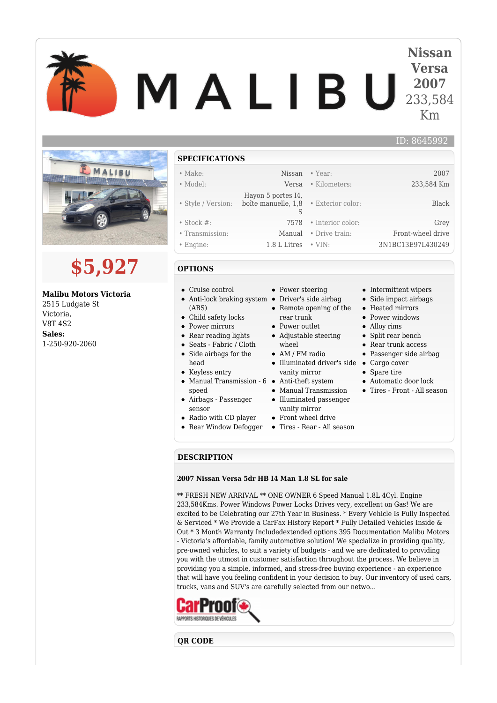# **Nissan Versa** MALIBU **2007** 233,584 Km



# **\$5,927**

## **Malibu Motors Victoria**

2515 Ludgate St Victoria, V8T 4S2 **Sales:** 1-250-920-2060

#### **SPECIFICATIONS**

#### • Make: Nissan • Year: 2007

#### • Model: Versa • Kilometers: 233,584 Km

- Style / Version: Hayon 5 portes I4, boîte manuelle, 1,8
- Stock #: 7578 Interior color: Grey
- Transmission: Manual Drive train: Front-wheel drive
- Engine: 1.8 L Litres VIN: 3N1BC13E97L430249
	-
- **OPTIONS**
- Cruise control
- Anti-lock braking system Driver's side airbag (ABS)
- Child safety locks
- Power mirrors
- Rear reading lights
- Seats Fabric / Cloth
- Side airbags for the head
- Keyless entry
- Manual Transmission 6 Anti-theft system speed
- Airbags Passenger sensor
- Radio with CD player
- Rear Window Defogger

• Power steering

S

- Remote opening of the rear trunk
- Power outlet
- Adjustable steering wheel
- AM / FM radio
- Illuminated driver's side Cargo cover vanity mirror
- 
- Manual Transmission Illuminated passenger
- vanity mirror Front wheel drive
- Tires Rear All season
- 

#### **DESCRIPTION**

#### **2007 Nissan Versa 5dr HB I4 Man 1.8 SL for sale**

\*\* FRESH NEW ARRIVAL \*\* ONE OWNER 6 Speed Manual 1.8L 4Cyl. Engine 233,584Kms. Power Windows Power Locks Drives very, excellent on Gas! We are excited to be Celebrating our 27th Year in Business. \* Every Vehicle Is Fully Inspected & Serviced \* We Provide a CarFax History Report \* Fully Detailed Vehicles Inside & Out \* 3 Month Warranty Includedextended options 395 Documentation Malibu Motors - Victoria's affordable, family automotive solution! We specialize in providing quality, pre-owned vehicles, to suit a variety of budgets - and we are dedicated to providing you with the utmost in customer satisfaction throughout the process. We believe in providing you a simple, informed, and stress-free buying experience - an experience that will have you feeling confident in your decision to buy. Our inventory of used cars, trucks, vans and SUV's are carefully selected from our netwo...



**QR CODE**

### • Intermittent wipers

ID: 8645992

- Side impact airbags
- Heated mirrors
- Power windows
- Alloy rims

• Exterior color: Black

- 
- Rear trunk access
- Passenger side airbag
- 
- Spare tire
- Automatic door lock
- Tires Front All season
- Split rear bench